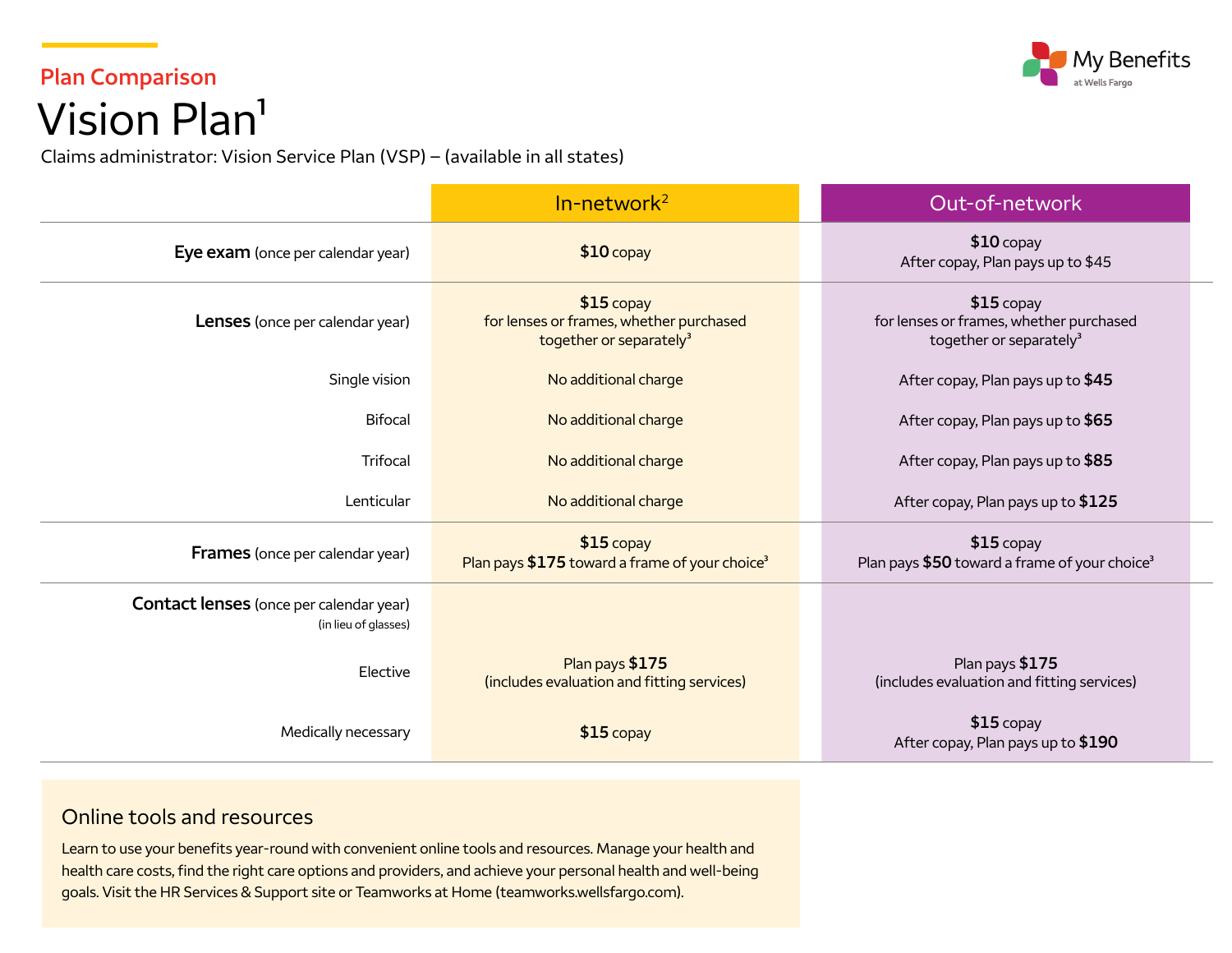## **My Benefits**

## **Plan Comparison**  Vision Plan<sup>1</sup>

Claims administrator: Vision Service Plan (VSP) – (available in all states)

|                                                                        | $In-network2$                                                                                 | Out-of-network                                                                                |
|------------------------------------------------------------------------|-----------------------------------------------------------------------------------------------|-----------------------------------------------------------------------------------------------|
| Eye exam (once per calendar year)                                      | $$10$ copay                                                                                   | $$10$ copay<br>After copay, Plan pays up to \$45                                              |
| Lenses (once per calendar year)                                        | $$15$ copay<br>for lenses or frames, whether purchased<br>together or separately <sup>3</sup> | $$15$ copay<br>for lenses or frames, whether purchased<br>together or separately <sup>3</sup> |
| Single vision                                                          | No additional charge                                                                          | After copay, Plan pays up to \$45                                                             |
| <b>Bifocal</b>                                                         | No additional charge                                                                          | After copay, Plan pays up to \$65                                                             |
| Trifocal                                                               | No additional charge                                                                          | After copay, Plan pays up to \$85                                                             |
| Lenticular                                                             | No additional charge                                                                          | After copay, Plan pays up to \$125                                                            |
| <b>Frames</b> (once per calendar year)                                 | $$15$ copay<br>Plan pays \$175 toward a frame of your choice <sup>3</sup>                     | $$15$ copay<br>Plan pays \$50 toward a frame of your choice <sup>3</sup>                      |
| <b>Contact lenses</b> (once per calendar year)<br>(in lieu of glasses) |                                                                                               |                                                                                               |
| Elective                                                               | Plan pays \$175<br>(includes evaluation and fitting services)                                 | Plan pays \$175<br>(includes evaluation and fitting services)                                 |
| Medically necessary                                                    | $$15$ copay                                                                                   | $$15$ copay<br>After copay, Plan pays up to \$190                                             |

## Online tools and resources

Learn to use your benefits year-round with convenient online tools and resources. Manage your health and health care costs, find the right care options and providers, and achieve your personal health and well-being goals. Visit the HR Services & Support site or Teamworks at Home [\(teamworks.wellsfargo.com\)](http://teamworks.wellsfargo.com).